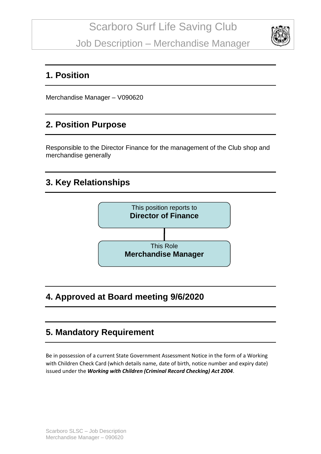Job Description – Merchandise Manager



#### **1. Position**

Merchandise Manager – V090620

## **2. Position Purpose**

Responsible to the Director Finance for the management of the Club shop and merchandise generally

## **3. Key Relationships**



## **4. Approved at Board meeting 9/6/2020**

## **5. Mandatory Requirement**

Be in possession of a current State Government Assessment Notice in the form of a Working with Children Check Card (which details name, date of birth, notice number and expiry date) issued under the *Working with Children (Criminal Record Checking) Act 2004*.